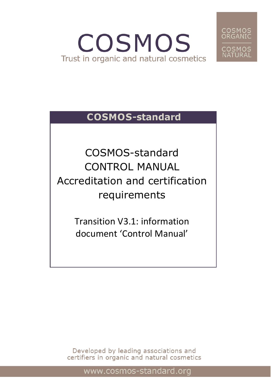# COSMOS Trust in organic and natural cosmetics



# **COSMOS-standard**

COSMOS-standard CONTROL MANUAL Accreditation and certification requirements

> Transition V3.1: information document 'Control Manual'

Developed by leading associations and certifiers in organic and natural cosmetics

www.cosmos-standard.org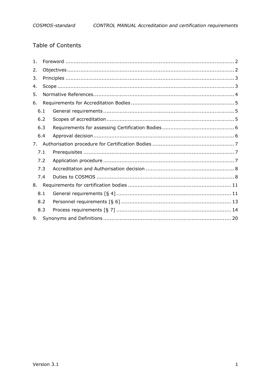# Table of Contents

| 1. |     |  |
|----|-----|--|
| 2. |     |  |
| 3. |     |  |
| 4. |     |  |
| 5. |     |  |
| 6. |     |  |
|    | 6.1 |  |
|    | 6.2 |  |
|    | 6.3 |  |
|    | 6.4 |  |
| 7. |     |  |
|    | 7.1 |  |
|    | 7.2 |  |
|    | 7.3 |  |
|    | 7.4 |  |
| 8. |     |  |
|    | 8.1 |  |
|    | 8.2 |  |
|    | 8.3 |  |
| 9. |     |  |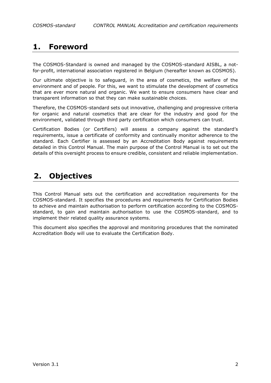# <span id="page-2-0"></span>**1. Foreword**

The COSMOS-Standard is owned and managed by the COSMOS-standard AISBL, a notfor-profit, international association registered in Belgium (hereafter known as COSMOS).

Our ultimate objective is to safeguard, in the area of cosmetics, the welfare of the environment and of people. For this, we want to stimulate the development of cosmetics that are ever more natural and organic. We want to ensure consumers have clear and transparent information so that they can make sustainable choices.

Therefore, the COSMOS-standard sets out innovative, challenging and progressive criteria for organic and natural cosmetics that are clear for the industry and good for the environment, validated through third party certification which consumers can trust.

Certification Bodies (or Certifiers) will assess a company against the standard's requirements, issue a certificate of conformity and continually monitor adherence to the standard. Each Certifier is assessed by an Accreditation Body against requirements detailed in this Control Manual. The main purpose of the Control Manual is to set out the details of this oversight process to ensure credible, consistent and reliable implementation.

# <span id="page-2-1"></span>**2. Objectives**

This Control Manual sets out the certification and accreditation requirements for the COSMOS-standard. It specifies the procedures and requirements for Certification Bodies to achieve and maintain authorisation to perform certification according to the COSMOSstandard, to gain and maintain authorisation to use the COSMOS-standard, and to implement their related quality assurance systems.

This document also specifies the approval and monitoring procedures that the nominated Accreditation Body will use to evaluate the Certification Body.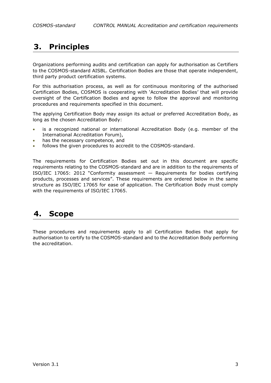# <span id="page-3-0"></span>**3. Principles**

Organizations performing audits and certification can apply for authorisation as Certifiers to the COSMOS-standard AISBL. Certification Bodies are those that operate independent, third party product certification systems.

For this authorisation process, as well as for continuous monitoring of the authorised Certification Bodies, COSMOS is cooperating with 'Accreditation Bodies' that will provide oversight of the Certification Bodies and agree to follow the approval and monitoring procedures and requirements specified in this document.

The applying Certification Body may assign its actual or preferred Accreditation Body, as long as the chosen Accreditation Body:

- is a recognized national or international Accreditation Body (e.g. member of the International Accreditation Forum),
- has the necessary competence, and
- follows the given procedures to accredit to the COSMOS-standard.

The requirements for Certification Bodies set out in this document are specific requirements relating to the COSMOS-standard and are in addition to the requirements of ISO/IEC 17065: 2012 "Conformity assessment — Requirements for bodies certifying products, processes and services". These requirements are ordered below in the same structure as ISO/IEC 17065 for ease of application. The Certification Body must comply with the requirements of ISO/IEC 17065.

# <span id="page-3-1"></span>**4. Scope**

These procedures and requirements apply to all Certification Bodies that apply for authorisation to certify to the COSMOS-standard and to the Accreditation Body performing the accreditation.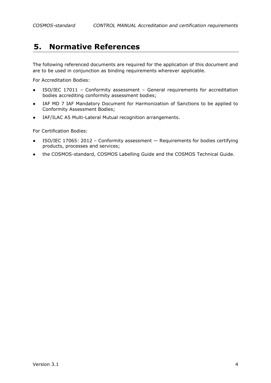# <span id="page-4-0"></span>**5. Normative References**

The following referenced documents are required for the application of this document and are to be used in conjunction as binding requirements wherever applicable.

For Accreditation Bodies:

- ISO/IEC 17011 Conformity assessment General requirements for accreditation bodies accrediting conformity assessment bodies;
- IAF MD 7 IAF Mandatory Document for Harmonization of Sanctions to be applied to Conformity Assessment Bodies;
- IAF/ILAC A5 Multi-Lateral Mutual recognition arrangements.

For Certification Bodies:

- $\bullet$  ISO/IEC 17065: 2012 Conformity assessment  $-$  Requirements for bodies certifying products, processes and services;
- the COSMOS-standard, COSMOS Labelling Guide and the COSMOS Technical Guide.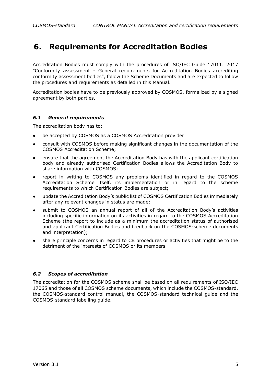# <span id="page-5-0"></span>**6. Requirements for Accreditation Bodies**

Accreditation Bodies must comply with the procedures of ISO/IEC Guide 17011: 2017 "Conformity assessment - General requirements for Accreditation Bodies accrediting conformity assessment bodies", follow the Scheme Documents and are expected to follow the procedures and requirements as detailed in this Manual.

Accreditation bodies have to be previously approved by COSMOS, formalized by a signed agreement by both parties.

### <span id="page-5-1"></span>*6.1 General requirements*

The accreditation body has to:

- be accepted by COSMOS as a COSMOS Accreditation provider
- consult with COSMOS before making significant changes in the documentation of the COSMOS Accreditation Scheme;
- ensure that the agreement the Accreditation Body has with the applicant certification body and already authorised Certification Bodies allows the Accreditation Body to share information with COSMOS;
- report in writing to COSMOS any problems identified in regard to the COSMOS Accreditation Scheme itself, its implementation or in regard to the scheme requirements to which Certification Bodies are subject;
- update the Accreditation Body's public list of COSMOS Certification Bodies immediately after any relevant changes in status are made;
- submit to COSMOS an annual report of all of the Accreditation Body's activities including specific information on its activities in regard to the COSMOS Accreditation Scheme (the report to include as a minimum the accreditation status of authorised and applicant Certification Bodies and feedback on the COSMOS-scheme documents and interpretation);
- share principle concerns in regard to CB procedures or activities that might be to the detriment of the interests of COSMOS or its members

# <span id="page-5-2"></span>*6.2 Scopes of accreditation*

The accreditation for the COSMOS scheme shall be based on all requirements of ISO/IEC 17065 and those of all COSMOS scheme documents, which include the COSMOS-standard, the COSMOS-standard control manual, the COSMOS-standard technical guide and the COSMOS-standard labelling guide.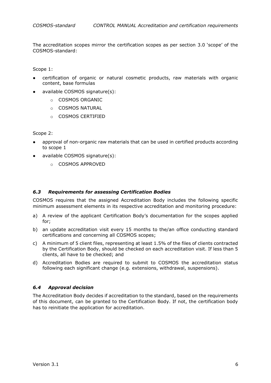*COSMOS-standard CONTROL MANUAL Accreditation and certification requirements*

The accreditation scopes mirror the certification scopes as per section 3.0 'scope' of the COSMOS-standard:

Scope 1:

- certification of organic or natural cosmetic products, raw materials with organic content, base formulas
- available COSMOS signature(s):
	- o COSMOS ORGANIC
	- o COSMOS NATURAL
	- o COSMOS CERTIFIED

Scope 2:

- approval of non-organic raw materials that can be used in certified products according to scope 1
- available COSMOS signature(s):
	- o COSMOS APPROVED

#### <span id="page-6-0"></span>*6.3 Requirements for assessing Certification Bodies*

COSMOS requires that the assigned Accreditation Body includes the following specific minimum assessment elements in its respective accreditation and monitoring procedure:

- a) A review of the applicant Certification Body's documentation for the scopes applied for;
- b) an update accreditation visit every 15 months to the/an office conducting standard certifications and concerning all COSMOS scopes;
- c) A minimum of 5 client files, representing at least 1.5% of the files of clients contracted by the Certification Body, should be checked on each accreditation visit. If less than 5 clients, all have to be checked; and
- d) Accreditation Bodies are required to submit to COSMOS the accreditation status following each significant change (e.g. extensions, withdrawal, suspensions).

# <span id="page-6-1"></span>*6.4 Approval decision*

The Accreditation Body decides if accreditation to the standard, based on the requirements of this document, can be granted to the Certification Body. If not, the certification body has to reinitiate the application for accreditation.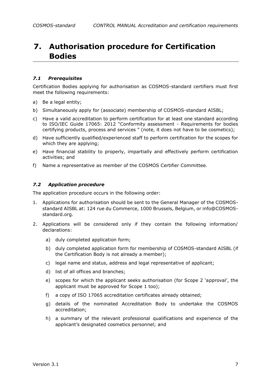# <span id="page-7-0"></span>**7. Authorisation procedure for Certification Bodies**

### <span id="page-7-1"></span>*7.1 Prerequisites*

Certification Bodies applying for authorisation as COSMOS-standard certifiers must first meet the following requirements:

- a) Be a legal entity;
- b) Simultaneously apply for (associate) membership of COSMOS-standard AISBL;
- c) Have a valid accreditation to perform certification for at least one standard according to ISO/IEC Guide 17065: 2012 "Conformity assessment - Requirements for bodies certifying products, process and services " (note, it does not have to be cosmetics);
- d) Have sufficiently qualified/experienced staff to perform certification for the scopes for which they are applying;
- e) Have financial stability to properly, impartially and effectively perform certification activities; and
- <span id="page-7-2"></span>f) Name a representative as member of the COSMOS Certifier Committee.

#### *7.2 Application procedure*

The application procedure occurs in the following order:

- 1. Applications for authorisation should be sent to the General Manager of the COSMOSstandard AISBL at: 124 rue du Commerce, 1000 Brussels, Belgium, or info@COSMOSstandard.org.
- 2. Applications will be considered only if they contain the following information/ declarations:
	- a) duly completed application form;
	- b) duly completed application form for membership of COSMOS-standard AISBL (if the Certification Body is not already a member);
	- c) legal name and status, address and legal representative of applicant;
	- d) list of all offices and branches;
	- e) scopes for which the applicant seeks authorisation (for Scope 2 'approval', the applicant must be approved for Scope 1 too);
	- f) a copy of ISO 17065 accreditation certificates already obtained;
	- g) details of the nominated Accreditation Body to undertake the COSMOS accreditation;
	- h) a summary of the relevant professional qualifications and experience of the applicant's designated cosmetics personnel; and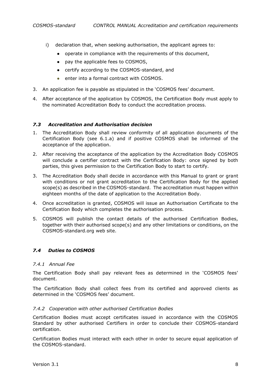- i) declaration that, when seeking authorisation, the applicant agrees to:
	- operate in compliance with the requirements of this document,
	- pay the applicable fees to COSMOS,
	- certify according to the COSMOS-standard, and
	- enter into a formal contract with COSMOS.
- 3. An application fee is payable as stipulated in the 'COSMOS fees' document.
- 4. After acceptance of the application by COSMOS, the Certification Body must apply to the nominated Accreditation Body to conduct the accreditation process.

### <span id="page-8-0"></span>*7.3 Accreditation and Authorisation decision*

- 1. The Accreditation Body shall review conformity of all application documents of the Certification Body (see 6.1.a) and if positive COSMOS shall be informed of the acceptance of the application.
- 2. After receiving the acceptance of the application by the Accreditation Body COSMOS will conclude a certifier contract with the Certification Body: once signed by both parties, this gives permission to the Certification Body to start to certify.
- 3. The Accreditation Body shall decide in accordance with this Manual to grant or grant with conditions or not grant accreditation to the Certification Body for the applied scope(s) as described in the COSMOS-standard. The accreditation must happen within eighteen months of the date of application to the Accreditation Body.
- 4. Once accreditation is granted, COSMOS will issue an Authorisation Certificate to the Certification Body which completes the authorisation process.
- 5. COSMOS will publish the contact details of the authorised Certification Bodies, together with their authorised scope(s) and any other limitations or conditions, on the COSMOS-standard.org web site.

# <span id="page-8-1"></span>*7.4 Duties to COSMOS*

#### *7.4.1 Annual Fee*

The Certification Body shall pay relevant fees as determined in the 'COSMOS fees' document.

The Certification Body shall collect fees from its certified and approved clients as determined in the 'COSMOS fees' document.

#### *7.4.2 Cooperation with other authorised Certification Bodies*

Certification Bodies must accept certificates issued in accordance with the COSMOS Standard by other authorised Certifiers in order to conclude their COSMOS-standard certification.

Certification Bodies must interact with each other in order to secure equal application of the COSMOS-standard.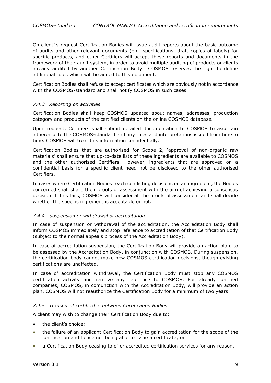On client´s request Certification Bodies will issue audit reports about the basic outcome of audits and other relevant documents (e.g. specifications, draft copies of labels) for specific products, and other Certifiers will accept these reports and documents in the framework of their audit system, in order to avoid multiple auditing of products or clients already audited by another Certification Body. COSMOS reserves the right to define additional rules which will be added to this document.

Certification Bodies shall refuse to accept certificates which are obviously not in accordance with the COSMOS-standard and shall notify COSMOS in such cases.

### *7.4.3 Reporting on activities*

Certification Bodies shall keep COSMOS updated about names, addresses, production category and products of the certified clients on the online COSMOS database.

Upon request, Certifiers shall submit detailed documentation to COSMOS to ascertain adherence to the COSMOS-standard and any rules and interpretations issued from time to time. COSMOS will treat this information confidentially.

Certification Bodies that are authorised for Scope 2, 'approval of non-organic raw materials' shall ensure that up-to-date lists of these ingredients are available to COSMOS and the other authorised Certifiers. However, ingredients that are approved on a confidential basis for a specific client need not be disclosed to the other authorised Certifiers.

In cases where Certification Bodies reach conflicting decisions on an ingredient, the Bodies concerned shall share their proofs of assessment with the aim of achieving a consensus decision. If this fails, COSMOS will consider all the proofs of assessment and shall decide whether the specific ingredient is acceptable or not.

# *7.4.4 Suspension or withdrawal of accreditation*

In case of suspension or withdrawal of the accreditation, the Accreditation Body shall inform COSMOS immediately and stop reference to accreditation of that Certification Body (subject to the normal appeals process of the Accreditation Body).

In case of accreditation suspension, the Certification Body will provide an action plan, to be assessed by the Accreditation Body, in conjunction with COSMOS. During suspension, the certification body cannot make new COSMOS certification decisions, though existing certifications are unaffected.

In case of accreditation withdrawal, the Certification Body must stop any COSMOS certification activity and remove any reference to COSMOS. For already certified companies, COSMOS, in conjunction with the Accreditation Body, will provide an action plan. COSMOS will not reauthorize the Certification Body for a minimum of two years.

#### *7.4.5 Transfer of certificates between Certification Bodies*

A client may wish to change their Certification Body due to:

- the client's choice;
- the failure of an applicant Certification Body to gain accreditation for the scope of the certification and hence not being able to issue a certificate; or
- a Certification Body ceasing to offer accredited certification services for any reason.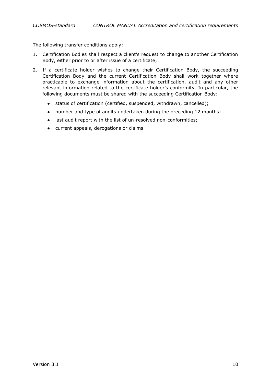The following transfer conditions apply:

- 1. Certification Bodies shall respect a client's request to change to another Certification Body, either prior to or after issue of a certificate;
- 2. If a certificate holder wishes to change their Certification Body, the succeeding Certification Body and the current Certification Body shall work together where practicable to exchange information about the certification, audit and any other relevant information related to the certificate holder's conformity. In particular, the following documents must be shared with the succeeding Certification Body:
	- status of certification (certified, suspended, withdrawn, cancelled);
	- number and type of audits undertaken during the preceding 12 months;
	- last audit report with the list of un-resolved non-conformities;
	- current appeals, derogations or claims.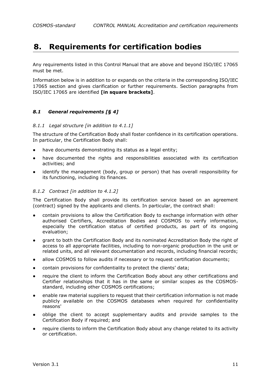# <span id="page-11-0"></span>**8. Requirements for certification bodies**

Any requirements listed in this Control Manual that are above and beyond ISO/IEC 17065 must be met.

Information below is in addition to or expands on the criteria in the corresponding ISO/IEC 17065 section and gives clarification or further requirements. Section paragraphs from ISO/IEC 17065 are identified **[in square brackets]**.

# <span id="page-11-1"></span>*8.1 General requirements [§ 4]*

### *8.1.1 Legal structure [in addition to 4.1.1]*

The structure of the Certification Body shall foster confidence in its certification operations. In particular, the Certification Body shall:

- have documents demonstrating its status as a legal entity;
- have documented the rights and responsibilities associated with its certification activities; and
- identify the management (body, group or person) that has overall responsibility for its functioning, including its finances.

### *8.1.2 Contract [in addition to 4.1.2]*

The Certification Body shall provide its certification service based on an agreement (contract) signed by the applicants and clients. In particular, the contract shall:

- contain provisions to allow the Certification Body to exchange information with other authorised Certifiers, Accreditation Bodies and COSMOS to verify information, especially the certification status of certified products, as part of its ongoing evaluation;
- grant to both the Certification Body and its nominated Accreditation Body the right of access to all appropriate facilities, including to non-organic production in the unit or related units, and all relevant documentation and records, including financial records;
- allow COSMOS to follow audits if necessary or to request certification documents;
- contain provisions for confidentiality to protect the clients' data;
- require the client to inform the Certification Body about any other certifications and Certifier relationships that it has in the same or similar scopes as the COSMOSstandard, including other COSMOS certifications;
- enable raw material suppliers to request that their certification information is not made publicly available on the COSMOS databases when required for confidentiality reasons'
- oblige the client to accept supplementary audits and provide samples to the Certification Body if required; and
- require clients to inform the Certification Body about any change related to its activity or certification.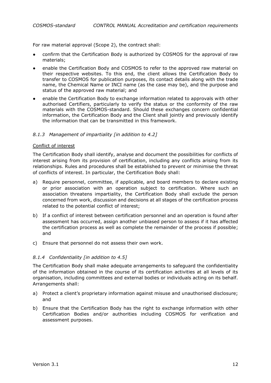For raw material approval (Scope 2), the contract shall:

- confirm that the Certification Body is authorized by COSMOS for the approval of raw materials;
- enable the Certification Body and COSMOS to refer to the approved raw material on their respective websites. To this end, the client allows the Certification Body to transfer to COSMOS for publication purposes, its contact details along with the trade name, the Chemical Name or INCI name (as the case may be), and the purpose and status of the approved raw material; and
- enable the Certification Body to exchange information related to approvals with other authorised Certifiers, particularly to verify the status or the conformity of the raw materials with the COSMOS-standard. Should these exchanges concern confidential information, the Certification Body and the Client shall jointly and previously identify the information that can be transmitted in this framework.

### *8.1.3 Management of impartiality [in addition to 4.2]*

#### Conflict of interest

The Certification Body shall identify, analyse and document the possibilities for conflicts of interest arising from its provision of certification, including any conflicts arising from its relationships. Rules and procedures shall be established to prevent or minimise the threat of conflicts of interest. In particular, the Certification Body shall:

- a) Require personnel, committee, if applicable, and board members to declare existing or prior association with an operation subject to certification. Where such an association threatens impartiality, the Certification Body shall exclude the person concerned from work, discussion and decisions at all stages of the certification process related to the potential conflict of interest;
- b) If a conflict of interest between certification personnel and an operation is found after assessment has occurred, assign another unbiased person to assess if it has affected the certification process as well as complete the remainder of the process if possible; and
- c) Ensure that personnel do not assess their own work.

#### *8.1.4 Confidentiality [in addition to 4.5]*

The Certification Body shall make adequate arrangements to safeguard the confidentiality of the information obtained in the course of its certification activities at all levels of its organisation, including committees and external bodies or individuals acting on its behalf. Arrangements shall:

- a) Protect a client's proprietary information against misuse and unauthorised disclosure; and
- b) Ensure that the Certification Body has the right to exchange information with other Certification Bodies and/or authorities including COSMOS for verification and assessment purposes.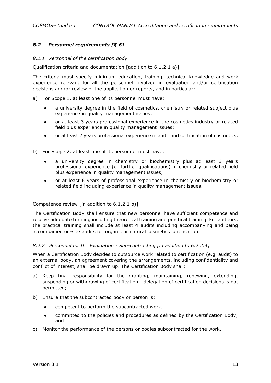# <span id="page-13-0"></span>*8.2 Personnel requirements [§ 6]*

#### *8.2.1 Personnel of the certification body*

#### Qualification criteria and documentation [addition to 6.1.2.1 a)]

The criteria must specify minimum education, training, technical knowledge and work experience relevant for all the personnel involved in evaluation and/or certification decisions and/or review of the application or reports, and in particular:

- a) For Scope 1, at least one of its personnel must have:
	- a university degree in the field of cosmetics, chemistry or related subject plus experience in quality management issues;
	- or at least 3 years professional experience in the cosmetics industry or related field plus experience in quality management issues;
	- or at least 2 years professional experience in audit and certification of cosmetics.
- b) For Scope 2, at least one of its personnel must have:
	- a university degree in chemistry or biochemistry plus at least 3 years professional experience (or further qualifications) in chemistry or related field plus experience in quality management issues;
	- or at least 6 years of professional experience in chemistry or biochemistry or related field including experience in quality management issues.

#### Competence review [in addition to 6.1.2.1 b)]

The Certification Body shall ensure that new personnel have sufficient competence and receive adequate training including theoretical training and practical training. For auditors, the practical training shall include at least 4 audits including accompanying and being accompanied on-site audits for organic or natural cosmetics certification.

#### *8.2.2 Personnel for the Evaluation - Sub-contracting [in addition to 6.2.2.4]*

When a Certification Body decides to outsource work related to certification (e.g. audit) to an external body, an agreement covering the arrangements, including confidentiality and conflict of interest, shall be drawn up. The Certification Body shall:

- a) Keep final responsibility for the granting, maintaining, renewing, extending, suspending or withdrawing of certification - delegation of certification decisions is not permitted;
- b) Ensure that the subcontracted body or person is:
	- competent to perform the subcontracted work;
	- committed to the policies and procedures as defined by the Certification Body; and
- c) Monitor the performance of the persons or bodies subcontracted for the work.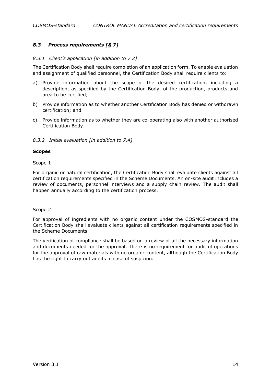# <span id="page-14-0"></span>*8.3 Process requirements [§ 7]*

#### *8.3.1 Client's application [in addition to 7.2]*

The Certification Body shall require completion of an application form. To enable evaluation and assignment of qualified personnel, the Certification Body shall require clients to:

- a) Provide information about the scope of the desired certification, including a description, as specified by the Certification Body, of the production, products and area to be certified;
- b) Provide information as to whether another Certification Body has denied or withdrawn certification; and
- c) Provide information as to whether they are co-operating also with another authorised Certification Body.

### *8.3.2 Initial evaluation [in addition to 7.4]*

#### **Scopes**

#### Scope 1

For organic or natural certification, the Certification Body shall evaluate clients against all certification requirements specified in the Scheme Documents. An on-site audit includes a review of documents, personnel interviews and a supply chain review. The audit shall happen annually according to the certification process.

#### Scope 2

For approval of ingredients with no organic content under the COSMOS-standard the Certification Body shall evaluate clients against all certification requirements specified in the Scheme Documents.

The verification of compliance shall be based on a review of all the necessary information and documents needed for the approval. There is no requirement for audit of operations for the approval of raw materials with no organic content, although the Certification Body has the right to carry out audits in case of suspicion.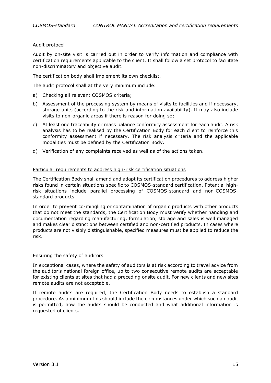#### Audit protocol

Audit by on-site visit is carried out in order to verify information and compliance with certification requirements applicable to the client. It shall follow a set protocol to facilitate non-discriminatory and objective audit.

The certification body shall implement its own checklist.

The audit protocol shall at the very minimum include:

- a) Checking all relevant COSMOS criteria;
- b) Assessment of the processing system by means of visits to facilities and if necessary, storage units (according to the risk and information availability). It may also include visits to non-organic areas if there is reason for doing so;
- c) At least one traceability or mass balance conformity assessment for each audit. A risk analysis has to be realised by the Certification Body for each client to reinforce this conformity assessment if necessary. The risk analysis criteria and the applicable modalities must be defined by the Certification Body.
- d) Verification of any complaints received as well as of the actions taken.

#### Particular requirements to address high-risk certification situations

The Certification Body shall amend and adapt its certification procedures to address higher risks found in certain situations specific to COSMOS-standard certification. Potential highrisk situations include parallel processing of COSMOS-standard and non-COSMOSstandard products.

In order to prevent co-mingling or contamination of organic products with other products that do not meet the standards, the Certification Body must verify whether handling and documentation regarding manufacturing, formulation, storage and sales is well managed and makes clear distinctions between certified and non-certified products. In cases where products are not visibly distinguishable, specified measures must be applied to reduce the risk.

#### Ensuring the safety of auditors

In exceptional cases, where the safety of auditors is at risk according to travel advice from the auditor's national foreign office, up to two consecutive remote audits are acceptable for existing clients at sites that had a preceding onsite audit. For new clients and new sites remote audits are not acceptable.

If remote audits are required, the Certification Body needs to establish a standard procedure. As a minimum this should include the circumstances under which such an audit is permitted, how the audits should be conducted and what additional information is requested of clients.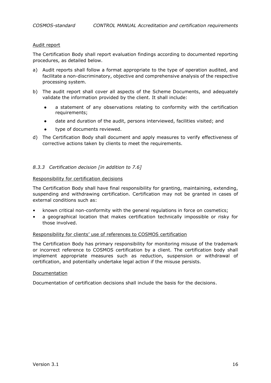#### Audit report

The Certification Body shall report evaluation findings according to documented reporting procedures, as detailed below.

- a) Audit reports shall follow a format appropriate to the type of operation audited, and facilitate a non-discriminatory, objective and comprehensive analysis of the respective processing system.
- b) The audit report shall cover all aspects of the Scheme Documents, and adequately validate the information provided by the client. It shall include:
	- a statement of any observations relating to conformity with the certification requirements;
	- date and duration of the audit, persons interviewed, facilities visited; and
	- type of documents reviewed.
- d) The Certification Body shall document and apply measures to verify effectiveness of corrective actions taken by clients to meet the requirements.

### *8.3.3 Certification decision [in addition to 7.6]*

#### Responsibility for certification decisions

The Certification Body shall have final responsibility for granting, maintaining, extending, suspending and withdrawing certification. Certification may not be granted in cases of external conditions such as:

- known critical non-conformity with the general regulations in force on cosmetics;
- a geographical location that makes certification technically impossible or risky for those involved.

#### Responsibility for clients' use of references to COSMOS certification

The Certification Body has primary responsibility for monitoring misuse of the trademark or incorrect reference to COSMOS certification by a client. The certification body shall implement appropriate measures such as reduction, suspension or withdrawal of certification, and potentially undertake legal action if the misuse persists.

#### Documentation

Documentation of certification decisions shall include the basis for the decisions.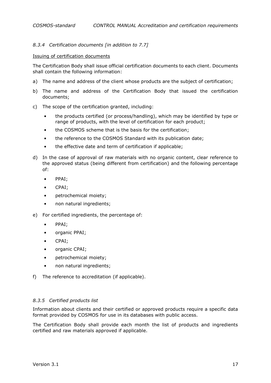# *8.3.4 Certification documents [in addition to 7.7]*

#### Issuing of certification documents

The Certification Body shall issue official certification documents to each client. Documents shall contain the following information:

- a) The name and address of the client whose products are the subject of certification;
- b) The name and address of the Certification Body that issued the certification documents;
- c) The scope of the certification granted, including:
	- the products certified (or process/handling), which may be identified by type or range of products, with the level of certification for each product;
	- the COSMOS scheme that is the basis for the certification;
	- the reference to the COSMOS Standard with its publication date;
	- the effective date and term of certification if applicable;
- d) In the case of approval of raw materials with no organic content, clear reference to the approved status (being different from certification) and the following percentage of:
	- PPAI;
	- CPAI;
	- petrochemical moiety;
	- non natural ingredients;
- e) For certified ingredients, the percentage of:
	- PPAI;
	- organic PPAI;
	- CPAI;
	- organic CPAI;
	- petrochemical moiety;
	- non natural ingredients;
- f) The reference to accreditation (if applicable).

#### *8.3.5 Certified products list*

Information about clients and their certified or approved products require a specific data format provided by COSMOS for use in its databases with public access.

The Certification Body shall provide each month the list of products and ingredients certified and raw materials approved if applicable.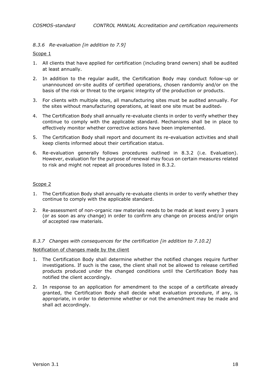# *8.3.6 Re-evaluation [in addition to 7.9]*

Scope 1

- 1. All clients that have applied for certification (including brand owners) shall be audited at least annually.
- 2. In addition to the regular audit, the Certification Body may conduct follow-up or unannounced on-site audits of certified operations, chosen randomly and/or on the basis of the risk or threat to the organic integrity of the production or products.
- 3. For clients with multiple sites, all manufacturing sites must be audited annually. For the sites without manufacturing operations, at least one site must be audited-
- 4. The Certification Body shall annually re-evaluate clients in order to verify whether they continue to comply with the applicable standard. Mechanisms shall be in place to effectively monitor whether corrective actions have been implemented.
- 5. The Certification Body shall report and document its re-evaluation activities and shall keep clients informed about their certification status.
- 6. Re-evaluation generally follows procedures outlined in 8.3.2 (i.e. Evaluation). However, evaluation for the purpose of renewal may focus on certain measures related to risk and might not repeat all procedures listed in 8.3.2.

### Scope 2

- 1. The Certification Body shall annually re-evaluate clients in order to verify whether they continue to comply with the applicable standard.
- 2. Re-assessment of non-organic raw materials needs to be made at least every 3 years (or as soon as any change) in order to confirm any change on process and/or origin of accepted raw materials.

#### *8.3.7 Changes with consequences for the certification [in addition to 7.10.2]*

#### Notification of changes made by the client

- 1. The Certification Body shall determine whether the notified changes require further investigations. If such is the case, the client shall not be allowed to release certified products produced under the changed conditions until the Certification Body has notified the client accordingly.
- 2. In response to an application for amendment to the scope of a certificate already granted, the Certification Body shall decide what evaluation procedure, if any, is appropriate, in order to determine whether or not the amendment may be made and shall act accordingly.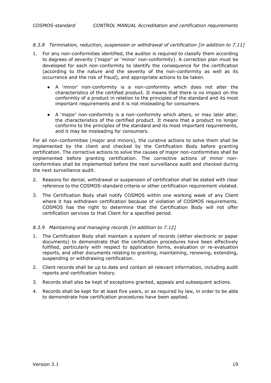#### *8.3.8 Termination, reduction, suspension or withdrawal of certification [in addition to 7.11]*

- 1. For any non-conformities identified, the auditor is required to classify them according to degrees of severity ('major' or 'minor' non-conformity). A correction plan must be developed for each non-conformity to identify the consequence for the certification (according to the nature and the severity of the non-conformity as well as its occurrence and the risk of fraud), and appropriate actions to be taken.
	- A 'minor' non-conformity is a non-conformity which does not alter the characteristics of the certified product. It means that there is no impact on the conformity of a product in relation to the principles of the standard and its most important requirements and it is not misleading for consumers.
	- A 'major' non-conformity is a non-conformity which alters, or may later alter, the characteristics of the certified product. It means that a product no longer conforms to the principles of the standard and its most important requirements, and it may be misleading for consumers.

For all non-conformities (major and minors), the curative actions to solve them shall be implemented by the client and checked by the Certification Body before granting certification. The corrective actions to solve the causes of major non-conformities shall be implemented before granting certification. The corrective actions of minor nonconformities shall be implemented before the next surveillance audit and checked during the next surveillance audit.

- 2. Reasons for denial, withdrawal or suspension of certification shall be stated with clear reference to the COSMOS-standard criteria or other certification requirement violated.
- 3. The Certification Body shall notify COSMOS within one working week of any Client where it has withdrawn certification because of violation of COSMOS requirements. COSMOS has the right to determine that the Certification Body will not offer certification services to that Client for a specified period.

#### *8.3.9 Maintaining and managing records [in addition to 7.12]*

- 1. The Certification Body shall maintain a system of records (either electronic or paper documents) to demonstrate that the certification procedures have been effectively fulfilled, particularly with respect to application forms, evaluation or re-evaluation reports, and other documents relating to granting, maintaining, renewing, extending, suspending or withdrawing certification.
- 2. Client records shall be up to date and contain all relevant information, including audit reports and certification history.
- 3. Records shall also be kept of exceptions granted, appeals and subsequent actions.
- 4. Records shall be kept for at least five years, or as required by law, in order to be able to demonstrate how certification procedures have been applied.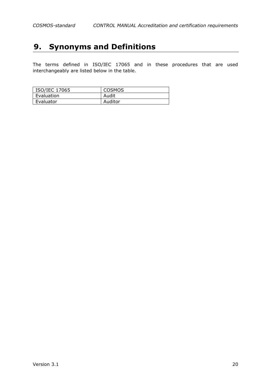# <span id="page-20-0"></span>**9. Synonyms and Definitions**

The terms defined in ISO/IEC 17065 and in these procedures that are used interchangeably are listed below in the table.

| ISO/IEC 17065 | <b>COSMOS</b> |
|---------------|---------------|
| Evaluation    | Audit         |
| Evaluator     | Auditor       |